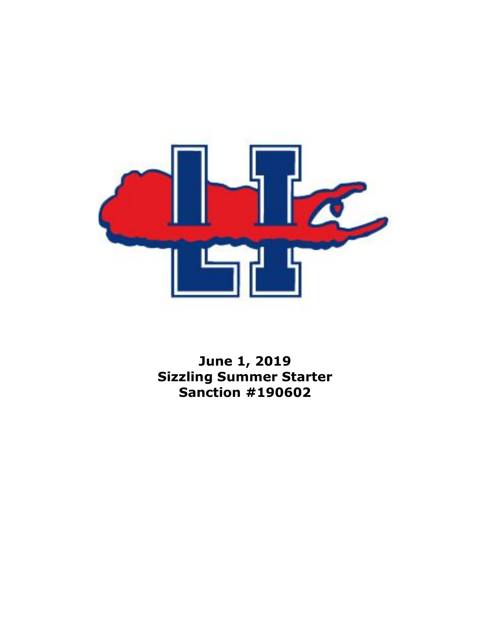

**June 1, 2019 Sizzling Summer Starter Sanction #190602**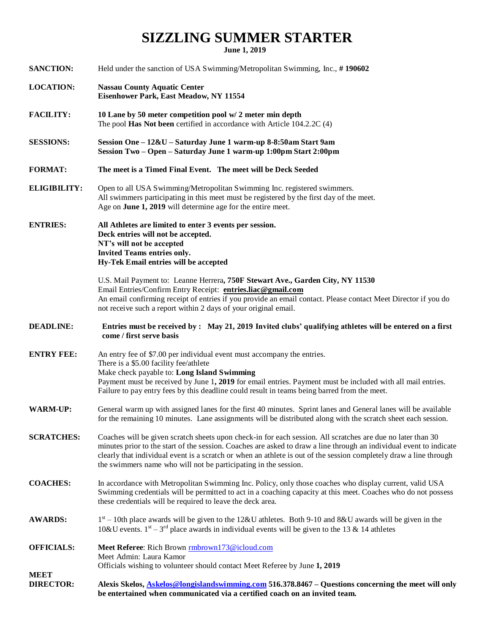## **SIZZLING SUMMER STARTER**

**June 1, 2019**

| <b>SANCTION:</b>                | Held under the sanction of USA Swimming/Metropolitan Swimming, Inc., #190602                                                                                                                                                                                                                                                                                                                                                |  |  |  |  |  |
|---------------------------------|-----------------------------------------------------------------------------------------------------------------------------------------------------------------------------------------------------------------------------------------------------------------------------------------------------------------------------------------------------------------------------------------------------------------------------|--|--|--|--|--|
| <b>LOCATION:</b>                | <b>Nassau County Aquatic Center</b><br>Eisenhower Park, East Meadow, NY 11554                                                                                                                                                                                                                                                                                                                                               |  |  |  |  |  |
| <b>FACILITY:</b>                | 10 Lane by 50 meter competition pool w/ 2 meter min depth<br>The pool Has Not been certified in accordance with Article 104.2.2C (4)                                                                                                                                                                                                                                                                                        |  |  |  |  |  |
| <b>SESSIONS:</b>                | Session One - 12&U - Saturday June 1 warm-up 8-8:50am Start 9am<br>Session Two - Open - Saturday June 1 warm-up 1:00pm Start 2:00pm                                                                                                                                                                                                                                                                                         |  |  |  |  |  |
| <b>FORMAT:</b>                  | The meet is a Timed Final Event. The meet will be Deck Seeded                                                                                                                                                                                                                                                                                                                                                               |  |  |  |  |  |
| <b>ELIGIBILITY:</b>             | Open to all USA Swimming/Metropolitan Swimming Inc. registered swimmers.<br>All swimmers participating in this meet must be registered by the first day of the meet.<br>Age on June 1, 2019 will determine age for the entire meet.                                                                                                                                                                                         |  |  |  |  |  |
| <b>ENTRIES:</b>                 | All Athletes are limited to enter 3 events per session.<br>Deck entries will not be accepted.<br>NT's will not be accepted<br><b>Invited Teams entries only.</b><br>Hy-Tek Email entries will be accepted                                                                                                                                                                                                                   |  |  |  |  |  |
|                                 | U.S. Mail Payment to: Leanne Herrera, 750F Stewart Ave., Garden City, NY 11530<br>Email Entries/Confirm Entry Receipt: entries.liac@gmail.com<br>An email confirming receipt of entries if you provide an email contact. Please contact Meet Director if you do<br>not receive such a report within 2 days of your original email.                                                                                          |  |  |  |  |  |
| <b>DEADLINE:</b>                | Entries must be received by: May 21, 2019 Invited clubs' qualifying athletes will be entered on a first<br>come / first serve basis                                                                                                                                                                                                                                                                                         |  |  |  |  |  |
| <b>ENTRY FEE:</b>               | An entry fee of \$7.00 per individual event must accompany the entries.<br>There is a \$5.00 facility fee/athlete<br>Make check payable to: Long Island Swimming<br>Payment must be received by June 1, 2019 for email entries. Payment must be included with all mail entries.<br>Failure to pay entry fees by this deadline could result in teams being barred from the meet.                                             |  |  |  |  |  |
| <b>WARM-UP:</b>                 | General warm up with assigned lanes for the first 40 minutes. Sprint lanes and General lanes will be available<br>for the remaining 10 minutes. Lane assignments will be distributed along with the scratch sheet each session.                                                                                                                                                                                             |  |  |  |  |  |
| <b>SCRATCHES:</b>               | Coaches will be given scratch sheets upon check-in for each session. All scratches are due no later than 30<br>minutes prior to the start of the session. Coaches are asked to draw a line through an individual event to indicate<br>clearly that individual event is a scratch or when an athlete is out of the session completely draw a line through<br>the swimmers name who will not be participating in the session. |  |  |  |  |  |
| <b>COACHES:</b>                 | In accordance with Metropolitan Swimming Inc. Policy, only those coaches who display current, valid USA<br>Swimming credentials will be permitted to act in a coaching capacity at this meet. Coaches who do not possess<br>these credentials will be required to leave the deck area.                                                                                                                                      |  |  |  |  |  |
| <b>AWARDS:</b>                  | $1st - 10th$ place awards will be given to the 12&U athletes. Both 9-10 and 8&U awards will be given in the<br>10&U events. $1^{st} - 3^{rd}$ place awards in individual events will be given to the 13 & 14 athletes                                                                                                                                                                                                       |  |  |  |  |  |
| <b>OFFICIALS:</b>               | Meet Referee: Rich Brown <i>rmbrown173@icloud.com</i><br>Meet Admin: Laura Kamor<br>Officials wishing to volunteer should contact Meet Referee by June 1, 2019                                                                                                                                                                                                                                                              |  |  |  |  |  |
| <b>MEET</b><br><b>DIRECTOR:</b> | Alexis Skelos, <b>Askelos@longislandswimming.com</b> 516.378.8467 - Questions concerning the meet will only<br>be entertained when communicated via a certified coach on an invited team.                                                                                                                                                                                                                                   |  |  |  |  |  |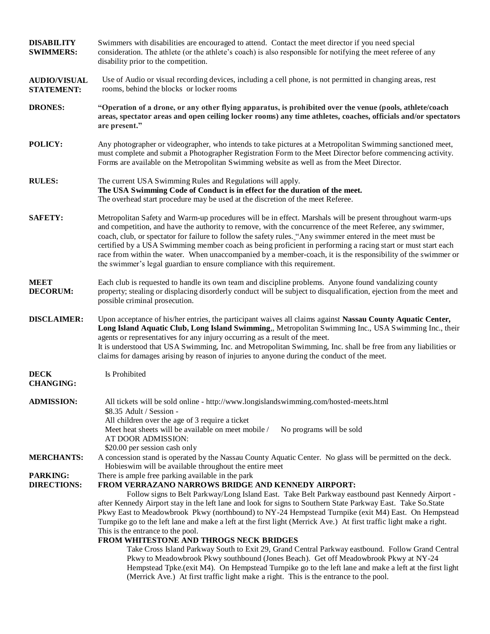| <b>DISABILITY</b><br><b>SWIMMERS:</b>    | Swimmers with disabilities are encouraged to attend. Contact the meet director if you need special<br>consideration. The athlete (or the athlete's coach) is also responsible for notifying the meet referee of any<br>disability prior to the competition.                                                                                                                                                                                                                                                                                                                                                                                                                                                                                     |  |  |  |  |  |
|------------------------------------------|-------------------------------------------------------------------------------------------------------------------------------------------------------------------------------------------------------------------------------------------------------------------------------------------------------------------------------------------------------------------------------------------------------------------------------------------------------------------------------------------------------------------------------------------------------------------------------------------------------------------------------------------------------------------------------------------------------------------------------------------------|--|--|--|--|--|
| <b>AUDIO/VISUAL</b><br><b>STATEMENT:</b> | Use of Audio or visual recording devices, including a cell phone, is not permitted in changing areas, rest<br>rooms, behind the blocks or locker rooms                                                                                                                                                                                                                                                                                                                                                                                                                                                                                                                                                                                          |  |  |  |  |  |
| <b>DRONES:</b>                           | "Operation of a drone, or any other flying apparatus, is prohibited over the venue (pools, athlete/coach<br>areas, spectator areas and open ceiling locker rooms) any time athletes, coaches, officials and/or spectators<br>are present."                                                                                                                                                                                                                                                                                                                                                                                                                                                                                                      |  |  |  |  |  |
| POLICY:                                  | Any photographer or videographer, who intends to take pictures at a Metropolitan Swimming sanctioned meet,<br>must complete and submit a Photographer Registration Form to the Meet Director before commencing activity.<br>Forms are available on the Metropolitan Swimming website as well as from the Meet Director.                                                                                                                                                                                                                                                                                                                                                                                                                         |  |  |  |  |  |
| <b>RULES:</b>                            | The current USA Swimming Rules and Regulations will apply.<br>The USA Swimming Code of Conduct is in effect for the duration of the meet.<br>The overhead start procedure may be used at the discretion of the meet Referee.                                                                                                                                                                                                                                                                                                                                                                                                                                                                                                                    |  |  |  |  |  |
| <b>SAFETY:</b>                           | Metropolitan Safety and Warm-up procedures will be in effect. Marshals will be present throughout warm-ups<br>and competition, and have the authority to remove, with the concurrence of the meet Referee, any swimmer,<br>coach, club, or spectator for failure to follow the safety rules. "Any swimmer entered in the meet must be<br>certified by a USA Swimming member coach as being proficient in performing a racing start or must start each<br>race from within the water. When unaccompanied by a member-coach, it is the responsibility of the swimmer or<br>the swimmer's legal guardian to ensure compliance with this requirement.                                                                                               |  |  |  |  |  |
| <b>MEET</b><br><b>DECORUM:</b>           | Each club is requested to handle its own team and discipline problems. Anyone found vandalizing county<br>property; stealing or displacing disorderly conduct will be subject to disqualification, ejection from the meet and<br>possible criminal prosecution.                                                                                                                                                                                                                                                                                                                                                                                                                                                                                 |  |  |  |  |  |
| <b>DISCLAIMER:</b>                       | Upon acceptance of his/her entries, the participant waives all claims against Nassau County Aquatic Center,<br>Long Island Aquatic Club, Long Island Swimming,, Metropolitan Swimming Inc., USA Swimming Inc., their<br>agents or representatives for any injury occurring as a result of the meet.<br>It is understood that USA Swimming, Inc. and Metropolitan Swimming, Inc. shall be free from any liabilities or<br>claims for damages arising by reason of injuries to anyone during the conduct of the meet.                                                                                                                                                                                                                             |  |  |  |  |  |
| <b>DECK</b><br><b>CHANGING:</b>          | Is Prohibited                                                                                                                                                                                                                                                                                                                                                                                                                                                                                                                                                                                                                                                                                                                                   |  |  |  |  |  |
| <b>ADMISSION:</b>                        | All tickets will be sold online - http://www.longislandswimming.com/hosted-meets.html<br>\$8.35 Adult / Session -<br>All children over the age of 3 require a ticket<br>Meet heat sheets will be available on meet mobile /<br>No programs will be sold<br>AT DOOR ADMISSION:<br>\$20.00 per session cash only                                                                                                                                                                                                                                                                                                                                                                                                                                  |  |  |  |  |  |
| <b>MERCHANTS:</b>                        | A concession stand is operated by the Nassau County Aquatic Center. No glass will be permitted on the deck.<br>Hobies wim will be available throughout the entire meet                                                                                                                                                                                                                                                                                                                                                                                                                                                                                                                                                                          |  |  |  |  |  |
| <b>PARKING:</b><br><b>DIRECTIONS:</b>    | There is ample free parking available in the park<br>FROM VERRAZANO NARROWS BRIDGE AND KENNEDY AIRPORT:<br>Follow signs to Belt Parkway/Long Island East. Take Belt Parkway eastbound past Kennedy Airport -<br>after Kennedy Airport stay in the left lane and look for signs to Southern State Parkway East. Take So.State<br>Pkwy East to Meadowbrook Pkwy (northbound) to NY-24 Hempstead Turnpike (exit M4) East. On Hempstead<br>Turnpike go to the left lane and make a left at the first light (Merrick Ave.) At first traffic light make a right.<br>This is the entrance to the pool.<br>FROM WHITESTONE AND THROGS NECK BRIDGES<br>Take Cross Island Parkway South to Exit 29, Grand Central Parkway eastbound. Follow Grand Central |  |  |  |  |  |
|                                          | Pkwy to Meadowbrook Pkwy southbound (Jones Beach). Get off Meadowbrook Pkwy at NY-24<br>Hempstead Tpke.(exit M4). On Hempstead Turnpike go to the left lane and make a left at the first light<br>(Merrick Ave.) At first traffic light make a right. This is the entrance to the pool.                                                                                                                                                                                                                                                                                                                                                                                                                                                         |  |  |  |  |  |